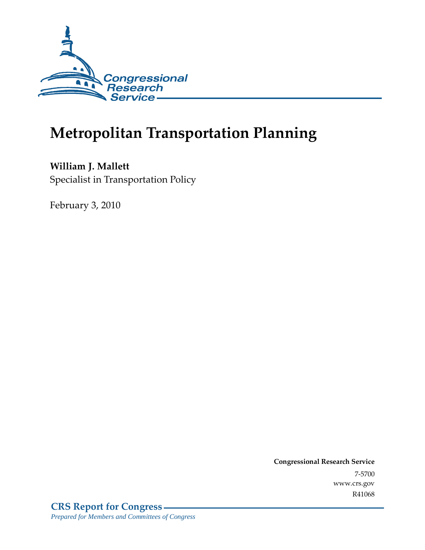

# **Metropolitan Transportation Planning**

**William J. Mallett**  Specialist in Transportation Policy

February 3, 2010

**Congressional Research Service** 7-5700 www.crs.gov R41068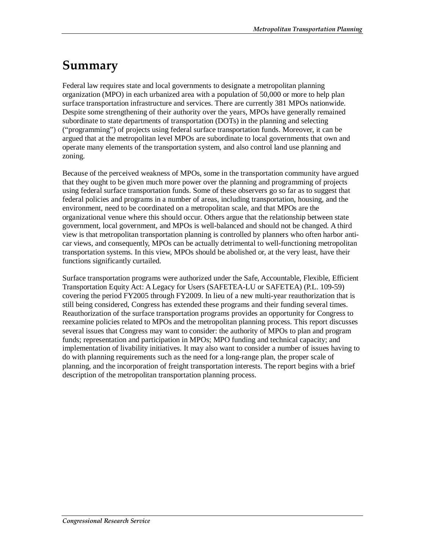## **Summary**

Federal law requires state and local governments to designate a metropolitan planning organization (MPO) in each urbanized area with a population of 50,000 or more to help plan surface transportation infrastructure and services. There are currently 381 MPOs nationwide. Despite some strengthening of their authority over the years, MPOs have generally remained subordinate to state departments of transportation (DOTs) in the planning and selecting ("programming") of projects using federal surface transportation funds. Moreover, it can be argued that at the metropolitan level MPOs are subordinate to local governments that own and operate many elements of the transportation system, and also control land use planning and zoning.

Because of the perceived weakness of MPOs, some in the transportation community have argued that they ought to be given much more power over the planning and programming of projects using federal surface transportation funds. Some of these observers go so far as to suggest that federal policies and programs in a number of areas, including transportation, housing, and the environment, need to be coordinated on a metropolitan scale, and that MPOs are the organizational venue where this should occur. Others argue that the relationship between state government, local government, and MPOs is well-balanced and should not be changed. A third view is that metropolitan transportation planning is controlled by planners who often harbor anticar views, and consequently, MPOs can be actually detrimental to well-functioning metropolitan transportation systems. In this view, MPOs should be abolished or, at the very least, have their functions significantly curtailed.

Surface transportation programs were authorized under the Safe, Accountable, Flexible, Efficient Transportation Equity Act: A Legacy for Users (SAFETEA-LU or SAFETEA) (P.L. 109-59) covering the period FY2005 through FY2009. In lieu of a new multi-year reauthorization that is still being considered, Congress has extended these programs and their funding several times. Reauthorization of the surface transportation programs provides an opportunity for Congress to reexamine policies related to MPOs and the metropolitan planning process. This report discusses several issues that Congress may want to consider: the authority of MPOs to plan and program funds; representation and participation in MPOs; MPO funding and technical capacity; and implementation of livability initiatives. It may also want to consider a number of issues having to do with planning requirements such as the need for a long-range plan, the proper scale of planning, and the incorporation of freight transportation interests. The report begins with a brief description of the metropolitan transportation planning process.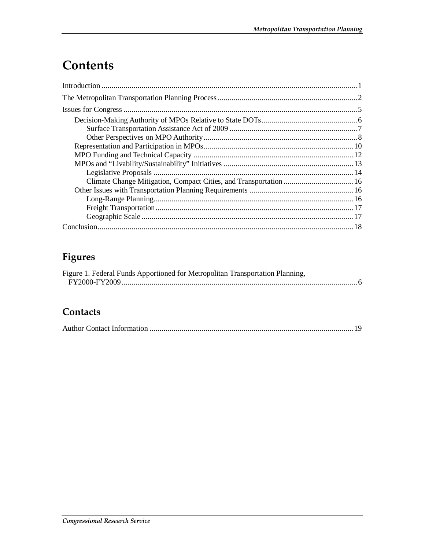# **Contents**

## **Figures**

| Figure 1. Federal Funds Apportioned for Metropolitan Transportation Planning, |  |
|-------------------------------------------------------------------------------|--|
|                                                                               |  |

### **Contacts**

|--|--|--|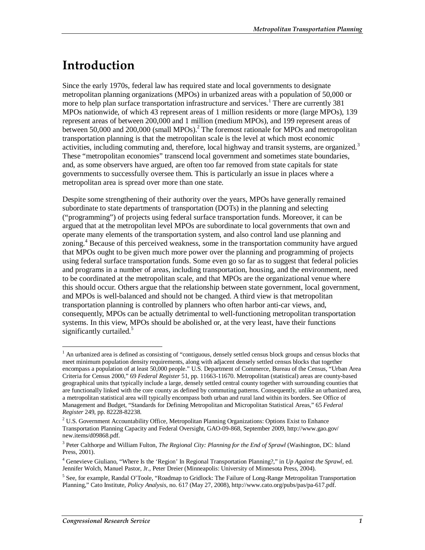## **Introduction**

Since the early 1970s, federal law has required state and local governments to designate metropolitan planning organizations (MPOs) in urbanized areas with a population of 50,000 or more to help plan surface transportation infrastructure and services.<sup>1</sup> There are currently 381 MPOs nationwide, of which 43 represent areas of 1 million residents or more (large MPOs), 139 represent areas of between 200,000 and 1 million (medium MPOs), and 199 represent areas of between 50,000 and 200,000 (small MPOs).<sup>2</sup> The foremost rationale for MPOs and metropolitan transportation planning is that the metropolitan scale is the level at which most economic activities, including commuting and, therefore, local highway and transit systems, are organized.<sup>3</sup> These "metropolitan economies" transcend local government and sometimes state boundaries, and, as some observers have argued, are often too far removed from state capitals for state governments to successfully oversee them. This is particularly an issue in places where a metropolitan area is spread over more than one state.

Despite some strengthening of their authority over the years, MPOs have generally remained subordinate to state departments of transportation (DOTs) in the planning and selecting ("programming") of projects using federal surface transportation funds. Moreover, it can be argued that at the metropolitan level MPOs are subordinate to local governments that own and operate many elements of the transportation system, and also control land use planning and zoning.<sup>4</sup> Because of this perceived weakness, some in the transportation community have argued that MPOs ought to be given much more power over the planning and programming of projects using federal surface transportation funds. Some even go so far as to suggest that federal policies and programs in a number of areas, including transportation, housing, and the environment, need to be coordinated at the metropolitan scale, and that MPOs are the organizational venue where this should occur. Others argue that the relationship between state government, local government, and MPOs is well-balanced and should not be changed. A third view is that metropolitan transportation planning is controlled by planners who often harbor anti-car views, and, consequently, MPOs can be actually detrimental to well-functioning metropolitan transportation systems. In this view, MPOs should be abolished or, at the very least, have their functions significantly curtailed. $5$ 

<sup>&</sup>lt;sup>1</sup> An urbanized area is defined as consisting of "contiguous, densely settled census block groups and census blocks that meet minimum population density requirements, along with adjacent densely settled census blocks that together encompass a population of at least 50,000 people." U.S. Department of Commerce, Bureau of the Census, "Urban Area Criteria for Census 2000," 69 *Federal Register* 51, pp. 11663-11670. Metropolitan (statistical) areas are county-based geographical units that typically include a large, densely settled central county together with surrounding counties that are functionally linked with the core county as defined by commuting patterns. Consequently, unlike an urbanized area, a metropolitan statistical area will typically encompass both urban and rural land within its borders. See Office of Management and Budget, "Standards for Defining Metropolitan and Micropolitan Statistical Areas," 65 *Federal Register* 249, pp. 82228-82238.

 $2^2$  U.S. Government Accountability Office, Metropolitan Planning Organizations: Options Exist to Enhance Transportation Planning Capacity and Federal Oversight, GAO-09-868, September 2009, http://www.gao.gov/ new.items/d09868.pdf.

<sup>&</sup>lt;sup>3</sup> Peter Calthorpe and William Fulton, *The Regional City: Planning for the End of Sprawl* (Washington, DC: Island Press, 2001).

<sup>4</sup> Genevieve Giuliano, "Where Is the 'Region' In Regional Transportation Planning?," in *Up Against the Sprawl*, ed. Jennifer Wolch, Manuel Pastor, Jr., Peter Dreier (Minneapolis: University of Minnesota Press, 2004).

<sup>&</sup>lt;sup>5</sup> See, for example, Randal O'Toole, "Roadmap to Gridlock: The Failure of Long-Range Metropolitan Transportation Planning," Cato Institute, *Policy Analysis*, no. 617 (May 27, 2008), http://www.cato.org/pubs/pas/pa-617.pdf.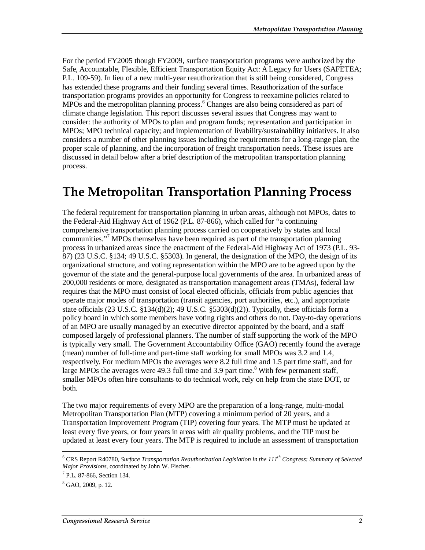For the period FY2005 though FY2009, surface transportation programs were authorized by the Safe, Accountable, Flexible, Efficient Transportation Equity Act: A Legacy for Users (SAFETEA; P.L. 109-59). In lieu of a new multi-year reauthorization that is still being considered, Congress has extended these programs and their funding several times. Reauthorization of the surface transportation programs provides an opportunity for Congress to reexamine policies related to MPOs and the metropolitan planning process.<sup>6</sup> Changes are also being considered as part of climate change legislation. This report discusses several issues that Congress may want to consider: the authority of MPOs to plan and program funds; representation and participation in MPOs; MPO technical capacity; and implementation of livability/sustainability initiatives. It also considers a number of other planning issues including the requirements for a long-range plan, the proper scale of planning, and the incorporation of freight transportation needs. These issues are discussed in detail below after a brief description of the metropolitan transportation planning process.

## **The Metropolitan Transportation Planning Process**

The federal requirement for transportation planning in urban areas, although not MPOs, dates to the Federal-Aid Highway Act of 1962 (P.L. 87-866), which called for "a continuing comprehensive transportation planning process carried on cooperatively by states and local communities."<sup>7</sup> MPOs themselves have been required as part of the transportation planning process in urbanized areas since the enactment of the Federal-Aid Highway Act of 1973 (P.L. 93- 87) (23 U.S.C. §134; 49 U.S.C. §5303). In general, the designation of the MPO, the design of its organizational structure, and voting representation within the MPO are to be agreed upon by the governor of the state and the general-purpose local governments of the area. In urbanized areas of 200,000 residents or more, designated as transportation management areas (TMAs), federal law requires that the MPO must consist of local elected officials, officials from public agencies that operate major modes of transportation (transit agencies, port authorities, etc.), and appropriate state officials (23 U.S.C. §134(d)(2); 49 U.S.C. §5303(d)(2)). Typically, these officials form a policy board in which some members have voting rights and others do not. Day-to-day operations of an MPO are usually managed by an executive director appointed by the board, and a staff composed largely of professional planners. The number of staff supporting the work of the MPO is typically very small. The Government Accountability Office (GAO) recently found the average (mean) number of full-time and part-time staff working for small MPOs was 3.2 and 1.4, respectively. For medium MPOs the averages were 8.2 full time and 1.5 part time staff, and for large MPOs the averages were 49.3 full time and 3.9 part time.<sup>8</sup> With few permanent staff, smaller MPOs often hire consultants to do technical work, rely on help from the state DOT, or both.

The two major requirements of every MPO are the preparation of a long-range, multi-modal Metropolitan Transportation Plan (MTP) covering a minimum period of 20 years, and a Transportation Improvement Program (TIP) covering four years. The MTP must be updated at least every five years, or four years in areas with air quality problems, and the TIP must be updated at least every four years. The MTP is required to include an assessment of transportation

 6 CRS Report R40780, *Surface Transportation Reauthorization Legislation in the 111th Congress: Summary of Selected Major Provisions*, coordinated by John W. Fischer. 7

<sup>&</sup>lt;sup>7</sup> P.L. 87-866, Section 134.

<sup>8</sup> GAO, 2009, p. 12.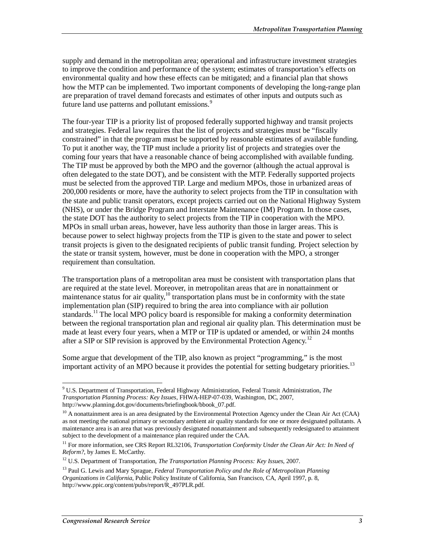supply and demand in the metropolitan area; operational and infrastructure investment strategies to improve the condition and performance of the system; estimates of transportation's effects on environmental quality and how these effects can be mitigated; and a financial plan that shows how the MTP can be implemented. Two important components of developing the long-range plan are preparation of travel demand forecasts and estimates of other inputs and outputs such as future land use patterns and pollutant emissions.<sup>9</sup>

The four-year TIP is a priority list of proposed federally supported highway and transit projects and strategies. Federal law requires that the list of projects and strategies must be "fiscally constrained" in that the program must be supported by reasonable estimates of available funding. To put it another way, the TIP must include a priority list of projects and strategies over the coming four years that have a reasonable chance of being accomplished with available funding. The TIP must be approved by both the MPO and the governor (although the actual approval is often delegated to the state DOT), and be consistent with the MTP. Federally supported projects must be selected from the approved TIP. Large and medium MPOs, those in urbanized areas of 200,000 residents or more, have the authority to select projects from the TIP in consultation with the state and public transit operators, except projects carried out on the National Highway System (NHS), or under the Bridge Program and Interstate Maintenance (IM) Program. In those cases, the state DOT has the authority to select projects from the TIP in cooperation with the MPO. MPOs in small urban areas, however, have less authority than those in larger areas. This is because power to select highway projects from the TIP is given to the state and power to select transit projects is given to the designated recipients of public transit funding. Project selection by the state or transit system, however, must be done in cooperation with the MPO, a stronger requirement than consultation.

The transportation plans of a metropolitan area must be consistent with transportation plans that are required at the state level. Moreover, in metropolitan areas that are in nonattainment or maintenance status for air quality,<sup>10</sup> transportation plans must be in conformity with the state implementation plan (SIP) required to bring the area into compliance with air pollution standards.<sup>11</sup> The local MPO policy board is responsible for making a conformity determination between the regional transportation plan and regional air quality plan. This determination must be made at least every four years, when a MTP or TIP is updated or amended, or within 24 months after a SIP or SIP revision is approved by the Environmental Protection Agency.<sup>12</sup>

Some argue that development of the TIP, also known as project "programming," is the most important activity of an MPO because it provides the potential for setting budgetary priorities.<sup>13</sup>

 9 U.S. Department of Transportation, Federal Highway Administration, Federal Transit Administration, *The Transportation Planning Process: Key Issues*, FHWA-HEP-07-039, Washington, DC, 2007, http://www.planning.dot.gov/documents/briefingbook/bbook\_07.pdf.

 $10$  A nonattainment area is an area designated by the Environmental Protection Agency under the Clean Air Act (CAA) as not meeting the national primary or secondary ambient air quality standards for one or more designated pollutants. A maintenance area is an area that was previously designated nonattainment and subsequently redesignated to attainment subject to the development of a maintenance plan required under the CAA.

<sup>11</sup> For more information, see CRS Report RL32106, *Transportation Conformity Under the Clean Air Act: In Need of Reform?*, by James E. McCarthy.

<sup>12</sup> U.S. Department of Transportation, *The Transportation Planning Process: Key Issues*, 2007.

<sup>&</sup>lt;sup>13</sup> Paul G. Lewis and Mary Sprague, *Federal Transportation Policy and the Role of Metropolitan Planning Organizations in California*, Public Policy Institute of California, San Francisco, CA, April 1997, p. 8, http://www.ppic.org/content/pubs/report/R\_497PLR.pdf.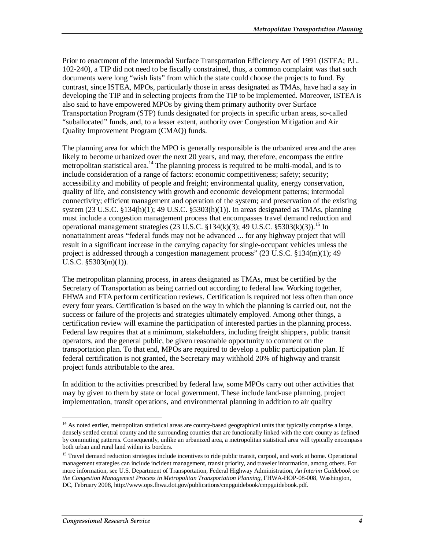Prior to enactment of the Intermodal Surface Transportation Efficiency Act of 1991 (ISTEA; P.L. 102-240), a TIP did not need to be fiscally constrained, thus, a common complaint was that such documents were long "wish lists" from which the state could choose the projects to fund. By contrast, since ISTEA, MPOs, particularly those in areas designated as TMAs, have had a say in developing the TIP and in selecting projects from the TIP to be implemented. Moreover, ISTEA is also said to have empowered MPOs by giving them primary authority over Surface Transportation Program (STP) funds designated for projects in specific urban areas, so-called "suballocated" funds, and, to a lesser extent, authority over Congestion Mitigation and Air Quality Improvement Program (CMAQ) funds.

The planning area for which the MPO is generally responsible is the urbanized area and the area likely to become urbanized over the next 20 years, and may, therefore, encompass the entire metropolitan statistical area.<sup>14</sup> The planning process is required to be multi-modal, and is to include consideration of a range of factors: economic competitiveness; safety; security; accessibility and mobility of people and freight; environmental quality, energy conservation, quality of life, and consistency with growth and economic development patterns; intermodal connectivity; efficient management and operation of the system; and preservation of the existing system  $(23 \text{ U.S.C. } §134(h)(1); 49 \text{ U.S.C. } §5303(h)(1)).$  In areas designated as TMAs, planning must include a congestion management process that encompasses travel demand reduction and operational management strategies (23 U.S.C.  $\S 134(k)(3)$ ; 49 U.S.C.  $\S 5303(k)(3)$ ).<sup>15</sup> In nonattainment areas "federal funds may not be advanced ... for any highway project that will result in a significant increase in the carrying capacity for single-occupant vehicles unless the project is addressed through a congestion management process" (23 U.S.C. §134(m)(1); 49 U.S.C. §5303(m)(1)).

The metropolitan planning process, in areas designated as TMAs, must be certified by the Secretary of Transportation as being carried out according to federal law. Working together, FHWA and FTA perform certification reviews. Certification is required not less often than once every four years. Certification is based on the way in which the planning is carried out, not the success or failure of the projects and strategies ultimately employed. Among other things, a certification review will examine the participation of interested parties in the planning process. Federal law requires that at a minimum, stakeholders, including freight shippers, public transit operators, and the general public, be given reasonable opportunity to comment on the transportation plan. To that end, MPOs are required to develop a public participation plan. If federal certification is not granted, the Secretary may withhold 20% of highway and transit project funds attributable to the area.

In addition to the activities prescribed by federal law, some MPOs carry out other activities that may by given to them by state or local government. These include land-use planning, project implementation, transit operations, and environmental planning in addition to air quality

<sup>-</sup><sup>14</sup> As noted earlier, metropolitan statistical areas are county-based geographical units that typically comprise a large, densely settled central county and the surrounding counties that are functionally linked with the core county as defined by commuting patterns. Consequently, unlike an urbanized area, a metropolitan statistical area will typically encompass both urban and rural land within its borders.

<sup>&</sup>lt;sup>15</sup> Travel demand reduction strategies include incentives to ride public transit, carpool, and work at home. Operational management strategies can include incident management, transit priority, and traveler information, among others. For more information, see U.S. Department of Transportation, Federal Highway Administration, *An Interim Guidebook on the Congestion Management Process in Metropolitan Transportation Planning*, FHWA-HOP-08-008, Washington, DC, February 2008, http://www.ops.fhwa.dot.gov/publications/cmpguidebook/cmpguidebook.pdf.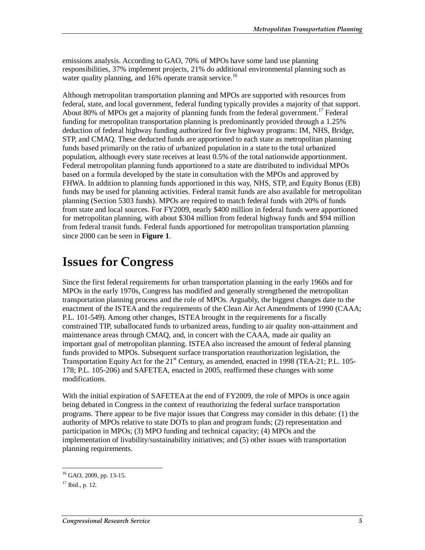emissions analysis. According to GAO, 70% of MPOs have some land use planning responsibilities, 37% implement projects, 21% do additional environmental planning such as water quality planning, and  $16\%$  operate transit service.<sup>16</sup>

Although metropolitan transportation planning and MPOs are supported with resources from federal, state, and local government, federal funding typically provides a majority of that support. About 80% of MPOs get a majority of planning funds from the federal government.<sup>17</sup> Federal funding for metropolitan transportation planning is predominantly provided through a 1.25% deduction of federal highway funding authorized for five highway programs: IM, NHS, Bridge, STP, and CMAQ. These deducted funds are apportioned to each state as metropolitan planning funds based primarily on the ratio of urbanized population in a state to the total urbanized population, although every state receives at least 0.5% of the total nationwide apportionment. Federal metropolitan planning funds apportioned to a state are distributed to individual MPOs based on a formula developed by the state in consultation with the MPOs and approved by FHWA. In addition to planning funds apportioned in this way, NHS, STP, and Equity Bonus (EB) funds may be used for planning activities. Federal transit funds are also available for metropolitan planning (Section 5303 funds). MPOs are required to match federal funds with 20% of funds from state and local sources. For FY2009, nearly \$400 million in federal funds were apportioned for metropolitan planning, with about \$304 million from federal highway funds and \$94 million from federal transit funds. Federal funds apportioned for metropolitan transportation planning since 2000 can be seen in **Figure 1**.

## **Issues for Congress**

Since the first federal requirements for urban transportation planning in the early 1960s and for MPOs in the early 1970s, Congress has modified and generally strengthened the metropolitan transportation planning process and the role of MPOs. Arguably, the biggest changes date to the enactment of the ISTEA and the requirements of the Clean Air Act Amendments of 1990 (CAAA; P.L. 101-549). Among other changes, ISTEA brought in the requirements for a fiscally constrained TIP, suballocated funds to urbanized areas, funding to air quality non-attainment and maintenance areas through CMAQ, and, in concert with the CAAA, made air quality an important goal of metropolitan planning. ISTEA also increased the amount of federal planning funds provided to MPOs. Subsequent surface transportation reauthorization legislation, the Transportation Equity Act for the  $21<sup>st</sup>$  Century, as amended, enacted in 1998 (TEA-21; P.L. 105-178; P.L. 105-206) and SAFETEA, enacted in 2005, reaffirmed these changes with some modifications.

With the initial expiration of SAFETEA at the end of FY2009, the role of MPOs is once again being debated in Congress in the context of reauthorizing the federal surface transportation programs. There appear to be five major issues that Congress may consider in this debate: (1) the authority of MPOs relative to state DOTs to plan and program funds; (2) representation and participation in MPOs; (3) MPO funding and technical capacity; (4) MPOs and the implementation of livability/sustainability initiatives; and (5) other issues with transportation planning requirements.

 $\frac{1}{1}$  $16$  GAO, 2009, pp. 13-15.

 $17$  Ibid., p. 12.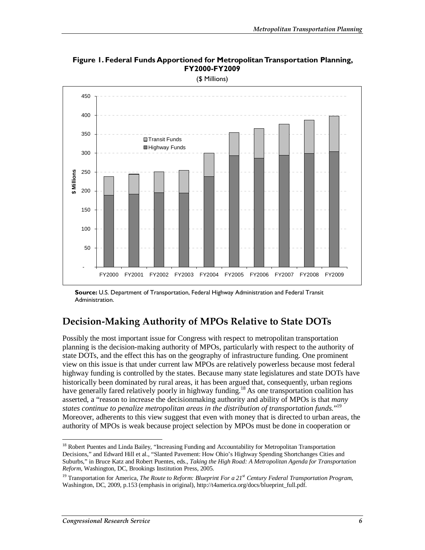

**Figure 1. Federal Funds Apportioned for Metropolitan Transportation Planning, FY2000-FY2009** 

(\$ Millions)

### **Decision-Making Authority of MPOs Relative to State DOTs**

Possibly the most important issue for Congress with respect to metropolitan transportation planning is the decision-making authority of MPOs, particularly with respect to the authority of state DOTs, and the effect this has on the geography of infrastructure funding. One prominent view on this issue is that under current law MPOs are relatively powerless because most federal highway funding is controlled by the states. Because many state legislatures and state DOTs have historically been dominated by rural areas, it has been argued that, consequently, urban regions have generally fared relatively poorly in highway funding.<sup>18</sup> As one transportation coalition has asserted, a "reason to increase the decisionmaking authority and ability of MPOs is that *many states continue to penalize metropolitan areas in the distribution of transportation funds.*" 19 Moreover, adherents to this view suggest that even with money that is directed to urban areas, the authority of MPOs is weak because project selection by MPOs must be done in cooperation or

**Source:** U.S. Department of Transportation, Federal Highway Administration and Federal Transit Administration.

<sup>&</sup>lt;sup>18</sup> Robert Puentes and Linda Bailey, "Increasing Funding and Accountability for Metropolitan Transportation Decisions," and Edward Hill et al., "Slanted Pavement: How Ohio's Highway Spending Shortchanges Cities and Suburbs," in Bruce Katz and Robert Puentes, eds., *Taking the High Road: A Metropolitan Agenda for Transportation Reform*, Washington, DC, Brookings Institution Press, 2005.

<sup>&</sup>lt;sup>19</sup> Transportation for America, *The Route to Reform: Blueprint For a 21<sup>st</sup> Century Federal Transportation Program*, Washington, DC, 2009, p.153 (emphasis in original), http://t4america.org/docs/blueprint\_full.pdf.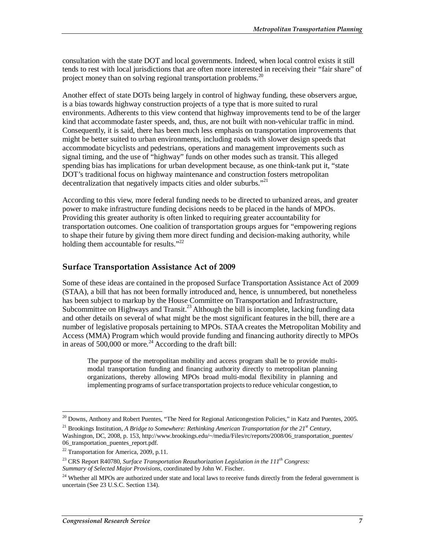consultation with the state DOT and local governments. Indeed, when local control exists it still tends to rest with local jurisdictions that are often more interested in receiving their "fair share" of project money than on solving regional transportation problems.<sup>20</sup>

Another effect of state DOTs being largely in control of highway funding, these observers argue, is a bias towards highway construction projects of a type that is more suited to rural environments. Adherents to this view contend that highway improvements tend to be of the larger kind that accommodate faster speeds, and, thus, are not built with non-vehicular traffic in mind. Consequently, it is said, there has been much less emphasis on transportation improvements that might be better suited to urban environments, including roads with slower design speeds that accommodate bicyclists and pedestrians, operations and management improvements such as signal timing, and the use of "highway" funds on other modes such as transit. This alleged spending bias has implications for urban development because, as one think-tank put it, "state DOT's traditional focus on highway maintenance and construction fosters metropolitan decentralization that negatively impacts cities and older suburbs.<sup>"21</sup>

According to this view, more federal funding needs to be directed to urbanized areas, and greater power to make infrastructure funding decisions needs to be placed in the hands of MPOs. Providing this greater authority is often linked to requiring greater accountability for transportation outcomes. One coalition of transportation groups argues for "empowering regions to shape their future by giving them more direct funding and decision-making authority, while holding them accountable for results."<sup>22</sup>

#### **Surface Transportation Assistance Act of 2009**

Some of these ideas are contained in the proposed Surface Transportation Assistance Act of 2009 (STAA), a bill that has not been formally introduced and, hence, is unnumbered, but nonetheless has been subject to markup by the House Committee on Transportation and Infrastructure, Subcommittee on Highways and Transit.<sup>23</sup> Although the bill is incomplete, lacking funding data and other details on several of what might be the most significant features in the bill, there are a number of legislative proposals pertaining to MPOs. STAA creates the Metropolitan Mobility and Access (MMA) Program which would provide funding and financing authority directly to MPOs in areas of  $500,000$  or more.<sup>24</sup> According to the draft bill:

The purpose of the metropolitan mobility and access program shall be to provide multimodal transportation funding and financing authority directly to metropolitan planning organizations, thereby allowing MPOs broad multi-modal flexibility in planning and implementing programs of surface transportation projects to reduce vehicular congestion, to

<sup>&</sup>lt;sup>20</sup> Downs, Anthony and Robert Puentes, "The Need for Regional Anticongestion Policies," in Katz and Puentes, 2005.

<sup>&</sup>lt;sup>21</sup> Brookings Institution, *A Bridge to Somewhere: Rethinking American Transportation for the 21<sup>st</sup> Century,* Washington, DC, 2008, p. 153, http://www.brookings.edu/~/media/Files/rc/reports/2008/06\_transportation\_puentes/ 06\_transportation\_puentes\_report.pdf.

<sup>&</sup>lt;sup>22</sup> Transportation for America, 2009, p.11.

<sup>&</sup>lt;sup>23</sup> CRS Report R40780, *Surface Transportation Reauthorization Legislation in the 111<sup>th</sup> Congress: Summary of Selected Major Provisions*, coordinated by John W. Fischer.

<sup>&</sup>lt;sup>24</sup> Whether all MPOs are authorized under state and local laws to receive funds directly from the federal government is uncertain (See 23 U.S.C. Section 134).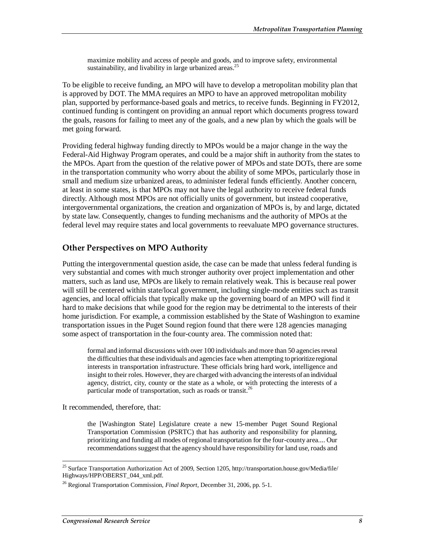maximize mobility and access of people and goods, and to improve safety, environmental sustainability, and livability in large urbanized areas.<sup>25</sup>

To be eligible to receive funding, an MPO will have to develop a metropolitan mobility plan that is approved by DOT. The MMA requires an MPO to have an approved metropolitan mobility plan, supported by performance-based goals and metrics, to receive funds. Beginning in FY2012, continued funding is contingent on providing an annual report which documents progress toward the goals, reasons for failing to meet any of the goals, and a new plan by which the goals will be met going forward.

Providing federal highway funding directly to MPOs would be a major change in the way the Federal-Aid Highway Program operates, and could be a major shift in authority from the states to the MPOs. Apart from the question of the relative power of MPOs and state DOTs, there are some in the transportation community who worry about the ability of some MPOs, particularly those in small and medium size urbanized areas, to administer federal funds efficiently. Another concern, at least in some states, is that MPOs may not have the legal authority to receive federal funds directly. Although most MPOs are not officially units of government, but instead cooperative, intergovernmental organizations, the creation and organization of MPOs is, by and large, dictated by state law. Consequently, changes to funding mechanisms and the authority of MPOs at the federal level may require states and local governments to reevaluate MPO governance structures.

#### **Other Perspectives on MPO Authority**

Putting the intergovernmental question aside, the case can be made that unless federal funding is very substantial and comes with much stronger authority over project implementation and other matters, such as land use, MPOs are likely to remain relatively weak. This is because real power will still be centered within state/local government, including single-mode entities such as transit agencies, and local officials that typically make up the governing board of an MPO will find it hard to make decisions that while good for the region may be detrimental to the interests of their home jurisdiction. For example, a commission established by the State of Washington to examine transportation issues in the Puget Sound region found that there were 128 agencies managing some aspect of transportation in the four-county area. The commission noted that:

formal and informal discussions with over 100 individuals and more than 50 agencies reveal the difficulties that these individuals and agencies face when attempting to prioritize regional interests in transportation infrastructure. These officials bring hard work, intelligence and insight to their roles. However, they are charged with advancing the interests of an individual agency, district, city, county or the state as a whole, or with protecting the interests of a particular mode of transportation, such as roads or transit. $^{26}$ 

It recommended, therefore, that:

the [Washington State] Legislature create a new 15-member Puget Sound Regional Transportation Commission (PSRTC) that has authority and responsibility for planning, prioritizing and funding all modes of regional transportation for the four-county area.... Our recommendations suggest that the agency should have responsibility for land use, roads and

<sup>-</sup><sup>25</sup> Surface Transportation Authorization Act of 2009, Section 1205, http://transportation.house.gov/Media/file/ Highways/HPP/OBERST\_044\_xml.pdf.

<sup>26</sup> Regional Transportation Commission, *Final Report*, December 31, 2006, pp. 5-1.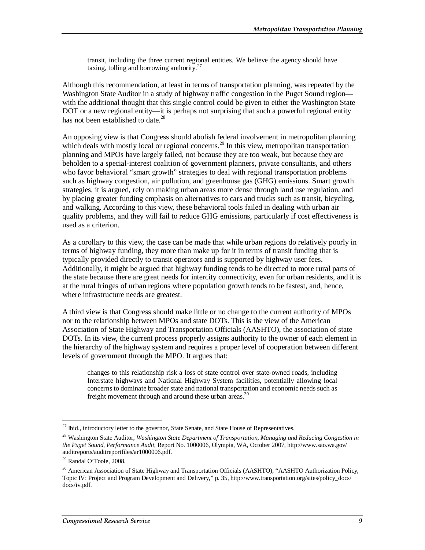transit, including the three current regional entities. We believe the agency should have taxing, tolling and borrowing authority. $27$ 

Although this recommendation, at least in terms of transportation planning, was repeated by the Washington State Auditor in a study of highway traffic congestion in the Puget Sound region with the additional thought that this single control could be given to either the Washington State DOT or a new regional entity—it is perhaps not surprising that such a powerful regional entity has not been established to date.<sup>28</sup>

An opposing view is that Congress should abolish federal involvement in metropolitan planning which deals with mostly local or regional concerns.<sup>29</sup> In this view, metropolitan transportation planning and MPOs have largely failed, not because they are too weak, but because they are beholden to a special-interest coalition of government planners, private consultants, and others who favor behavioral "smart growth" strategies to deal with regional transportation problems such as highway congestion, air pollution, and greenhouse gas (GHG) emissions. Smart growth strategies, it is argued, rely on making urban areas more dense through land use regulation, and by placing greater funding emphasis on alternatives to cars and trucks such as transit, bicycling, and walking. According to this view, these behavioral tools failed in dealing with urban air quality problems, and they will fail to reduce GHG emissions, particularly if cost effectiveness is used as a criterion.

As a corollary to this view, the case can be made that while urban regions do relatively poorly in terms of highway funding, they more than make up for it in terms of transit funding that is typically provided directly to transit operators and is supported by highway user fees. Additionally, it might be argued that highway funding tends to be directed to more rural parts of the state because there are great needs for intercity connectivity, even for urban residents, and it is at the rural fringes of urban regions where population growth tends to be fastest, and, hence, where infrastructure needs are greatest.

A third view is that Congress should make little or no change to the current authority of MPOs nor to the relationship between MPOs and state DOTs. This is the view of the American Association of State Highway and Transportation Officials (AASHTO), the association of state DOTs. In its view, the current process properly assigns authority to the owner of each element in the hierarchy of the highway system and requires a proper level of cooperation between different levels of government through the MPO. It argues that:

changes to this relationship risk a loss of state control over state-owned roads, including Interstate highways and National Highway System facilities, potentially allowing local concerns to dominate broader state and national transportation and economic needs such as freight movement through and around these urban areas.<sup>30</sup>

<sup>-</sup><sup>27</sup> Ibid., introductory letter to the governor, State Senate, and State House of Representatives.

<sup>28</sup> Washington State Auditor, *Washington State Department of Transportation, Managing and Reducing Congestion in the Puget Sound, Performance Audit*, Report No. 1000006, Olympia, WA, October 2007, http://www.sao.wa.gov/ auditreports/auditreportfiles/ar1000006.pdf.

<sup>29</sup> Randal O'Toole, 2008.

<sup>&</sup>lt;sup>30</sup> American Association of State Highway and Transportation Officials (AASHTO), "AASHTO Authorization Policy, Topic IV: Project and Program Development and Delivery," p. 35, http://www.transportation.org/sites/policy\_docs/ docs/iv.pdf.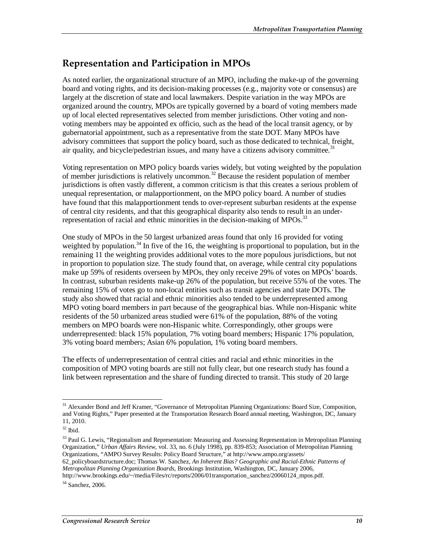### **Representation and Participation in MPOs**

As noted earlier, the organizational structure of an MPO, including the make-up of the governing board and voting rights, and its decision-making processes (e.g., majority vote or consensus) are largely at the discretion of state and local lawmakers. Despite variation in the way MPOs are organized around the country, MPOs are typically governed by a board of voting members made up of local elected representatives selected from member jurisdictions. Other voting and nonvoting members may be appointed ex officio, such as the head of the local transit agency, or by gubernatorial appointment, such as a representative from the state DOT. Many MPOs have advisory committees that support the policy board, such as those dedicated to technical, freight, air quality, and bicycle/pedestrian issues, and many have a citizens advisory committee.<sup>31</sup>

Voting representation on MPO policy boards varies widely, but voting weighted by the population of member jurisdictions is relatively uncommon.<sup>32</sup> Because the resident population of member jurisdictions is often vastly different, a common criticism is that this creates a serious problem of unequal representation, or malapportionment, on the MPO policy board. A number of studies have found that this malapportionment tends to over-represent suburban residents at the expense of central city residents, and that this geographical disparity also tends to result in an underrepresentation of racial and ethnic minorities in the decision-making of MPOs.<sup>33</sup>

One study of MPOs in the 50 largest urbanized areas found that only 16 provided for voting weighted by population.<sup>34</sup> In five of the 16, the weighting is proportional to population, but in the remaining 11 the weighting provides additional votes to the more populous jurisdictions, but not in proportion to population size. The study found that, on average, while central city populations make up 59% of residents overseen by MPOs, they only receive 29% of votes on MPOs' boards. In contrast, suburban residents make-up 26% of the population, but receive 55% of the votes. The remaining 15% of votes go to non-local entities such as transit agencies and state DOTs. The study also showed that racial and ethnic minorities also tended to be underrepresented among MPO voting board members in part because of the geographical bias. While non-Hispanic white residents of the 50 urbanized areas studied were 61% of the population, 88% of the voting members on MPO boards were non-Hispanic white. Correspondingly, other groups were underrepresented: black 15% population, 7% voting board members; Hispanic 17% population, 3% voting board members; Asian 6% population, 1% voting board members.

The effects of underrepresentation of central cities and racial and ethnic minorities in the composition of MPO voting boards are still not fully clear, but one research study has found a link between representation and the share of funding directed to transit. This study of 20 large

<sup>33</sup> Paul G. Lewis, "Regionalism and Representation: Measuring and Assessing Representation in Metropolitan Planning Organization," *Urban Affairs Review*, vol. 33, no. 6 (July 1998), pp. 839-853; Association of Metropolitan Planning Organizations, "AMPO Survey Results: Policy Board Structure," at http://www.ampo.org/assets/ 62\_policyboardstructure.doc; Thomas W. Sanchez, *An Inherent Bias? Geographic and Racial-Ethnic Patterns of Metropolitan Planning Organization Boards*, Brookings Institution, Washington, DC, January 2006, http://www.brookings.edu/~/media/Files/rc/reports/2006/01transportation\_sanchez/20060124\_mpos.pdf.

<sup>34</sup> Sanchez, 2006.

<sup>-</sup><sup>31</sup> Alexander Bond and Jeff Kramer, "Governance of Metropolitan Planning Organizations: Board Size, Composition, and Voting Rights," Paper presented at the Transportation Research Board annual meeting, Washington, DC, January 11, 2010.

 $32$  Ibid.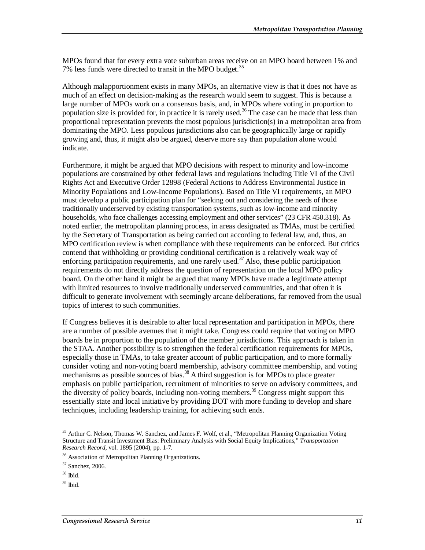MPOs found that for every extra vote suburban areas receive on an MPO board between 1% and 7% less funds were directed to transit in the MPO budget.<sup>35</sup>

Although malapportionment exists in many MPOs, an alternative view is that it does not have as much of an effect on decision-making as the research would seem to suggest. This is because a large number of MPOs work on a consensus basis, and, in MPOs where voting in proportion to population size is provided for, in practice it is rarely used.<sup>36</sup> The case can be made that less than proportional representation prevents the most populous jurisdiction(s) in a metropolitan area from dominating the MPO. Less populous jurisdictions also can be geographically large or rapidly growing and, thus, it might also be argued, deserve more say than population alone would indicate.

Furthermore, it might be argued that MPO decisions with respect to minority and low-income populations are constrained by other federal laws and regulations including Title VI of the Civil Rights Act and Executive Order 12898 (Federal Actions to Address Environmental Justice in Minority Populations and Low-Income Populations). Based on Title VI requirements, an MPO must develop a public participation plan for "seeking out and considering the needs of those traditionally underserved by existing transportation systems, such as low-income and minority households, who face challenges accessing employment and other services" (23 CFR 450.318). As noted earlier, the metropolitan planning process, in areas designated as TMAs, must be certified by the Secretary of Transportation as being carried out according to federal law, and, thus, an MPO certification review is when compliance with these requirements can be enforced. But critics contend that withholding or providing conditional certification is a relatively weak way of enforcing participation requirements, and one rarely used.<sup>37</sup> Also, these public participation requirements do not directly address the question of representation on the local MPO policy board. On the other hand it might be argued that many MPOs have made a legitimate attempt with limited resources to involve traditionally underserved communities, and that often it is difficult to generate involvement with seemingly arcane deliberations, far removed from the usual topics of interest to such communities.

If Congress believes it is desirable to alter local representation and participation in MPOs, there are a number of possible avenues that it might take. Congress could require that voting on MPO boards be in proportion to the population of the member jurisdictions. This approach is taken in the STAA. Another possibility is to strengthen the federal certification requirements for MPOs, especially those in TMAs, to take greater account of public participation, and to more formally consider voting and non-voting board membership, advisory committee membership, and voting mechanisms as possible sources of bias.<sup>38</sup> A third suggestion is for MPOs to place greater emphasis on public participation, recruitment of minorities to serve on advisory committees, and the diversity of policy boards, including non-voting members.<sup>39</sup> Congress might support this essentially state and local initiative by providing DOT with more funding to develop and share techniques, including leadership training, for achieving such ends.

<sup>-</sup><sup>35</sup> Arthur C. Nelson, Thomas W. Sanchez, and James F. Wolf, et al., "Metropolitan Planning Organization Voting Structure and Transit Investment Bias: Preliminary Analysis with Social Equity Implications," *Transportation Research Record*, vol. 1895 (2004), pp. 1-7.

<sup>&</sup>lt;sup>36</sup> Association of Metropolitan Planning Organizations.

<sup>37</sup> Sanchez, 2006.

 $38$  Ibid.

 $39$  Ibid.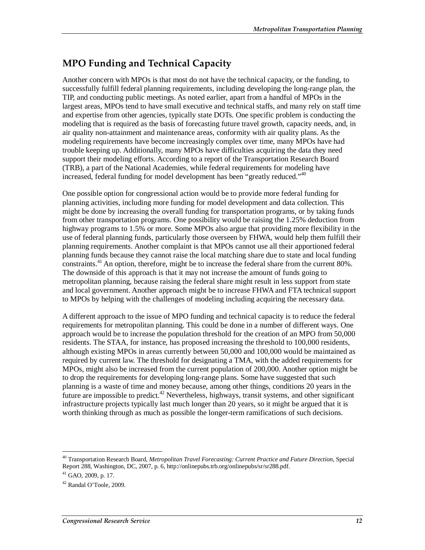## **MPO Funding and Technical Capacity**

Another concern with MPOs is that most do not have the technical capacity, or the funding, to successfully fulfill federal planning requirements, including developing the long-range plan, the TIP, and conducting public meetings. As noted earlier, apart from a handful of MPOs in the largest areas, MPOs tend to have small executive and technical staffs, and many rely on staff time and expertise from other agencies, typically state DOTs. One specific problem is conducting the modeling that is required as the basis of forecasting future travel growth, capacity needs, and, in air quality non-attainment and maintenance areas, conformity with air quality plans. As the modeling requirements have become increasingly complex over time, many MPOs have had trouble keeping up. Additionally, many MPOs have difficulties acquiring the data they need support their modeling efforts. According to a report of the Transportation Research Board (TRB), a part of the National Academies, while federal requirements for modeling have increased, federal funding for model development has been "greatly reduced."<sup>40</sup>

One possible option for congressional action would be to provide more federal funding for planning activities, including more funding for model development and data collection. This might be done by increasing the overall funding for transportation programs, or by taking funds from other transportation programs. One possibility would be raising the 1.25% deduction from highway programs to 1.5% or more. Some MPOs also argue that providing more flexibility in the use of federal planning funds, particularly those overseen by FHWA, would help them fulfill their planning requirements. Another complaint is that MPOs cannot use all their apportioned federal planning funds because they cannot raise the local matching share due to state and local funding constraints.<sup>41</sup> An option, therefore, might be to increase the federal share from the current 80%. The downside of this approach is that it may not increase the amount of funds going to metropolitan planning, because raising the federal share might result in less support from state and local government. Another approach might be to increase FHWA and FTA technical support to MPOs by helping with the challenges of modeling including acquiring the necessary data.

A different approach to the issue of MPO funding and technical capacity is to reduce the federal requirements for metropolitan planning. This could be done in a number of different ways. One approach would be to increase the population threshold for the creation of an MPO from 50,000 residents. The STAA, for instance, has proposed increasing the threshold to 100,000 residents, although existing MPOs in areas currently between 50,000 and 100,000 would be maintained as required by current law. The threshold for designating a TMA, with the added requirements for MPOs, might also be increased from the current population of 200,000. Another option might be to drop the requirements for developing long-range plans. Some have suggested that such planning is a waste of time and money because, among other things, conditions 20 years in the future are impossible to predict.<sup>42</sup> Nevertheless, highways, transit systems, and other significant infrastructure projects typically last much longer than 20 years, so it might be argued that it is worth thinking through as much as possible the longer-term ramifications of such decisions.

<sup>40</sup> Transportation Research Board, *Metropolitan Travel Forecasting: Current Practice and Future Direction*, Special Report 288, Washington, DC, 2007, p. 6, http://onlinepubs.trb.org/onlinepubs/sr/sr288.pdf.

 $41$  GAO, 2009, p. 17.

 $42$  Randal O'Toole, 2009.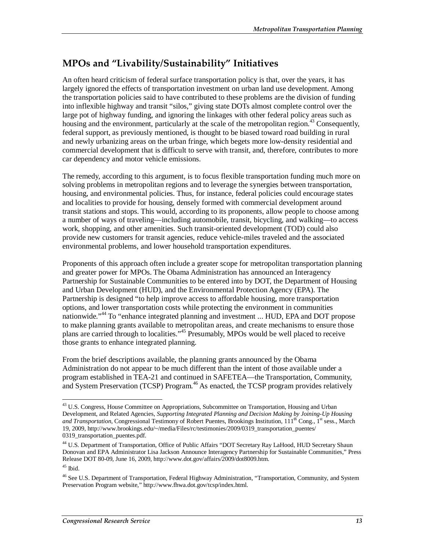### **MPOs and "Livability/Sustainability" Initiatives**

An often heard criticism of federal surface transportation policy is that, over the years, it has largely ignored the effects of transportation investment on urban land use development. Among the transportation policies said to have contributed to these problems are the division of funding into inflexible highway and transit "silos," giving state DOTs almost complete control over the large pot of highway funding, and ignoring the linkages with other federal policy areas such as housing and the environment, particularly at the scale of the metropolitan region.<sup>43</sup> Consequently, federal support, as previously mentioned, is thought to be biased toward road building in rural and newly urbanizing areas on the urban fringe, which begets more low-density residential and commercial development that is difficult to serve with transit, and, therefore, contributes to more car dependency and motor vehicle emissions.

The remedy, according to this argument, is to focus flexible transportation funding much more on solving problems in metropolitan regions and to leverage the synergies between transportation, housing, and environmental policies. Thus, for instance, federal policies could encourage states and localities to provide for housing, densely formed with commercial development around transit stations and stops. This would, according to its proponents, allow people to choose among a number of ways of traveling—including automobile, transit, bicycling, and walking—to access work, shopping, and other amenities. Such transit-oriented development (TOD) could also provide new customers for transit agencies, reduce vehicle-miles traveled and the associated environmental problems, and lower household transportation expenditures.

Proponents of this approach often include a greater scope for metropolitan transportation planning and greater power for MPOs. The Obama Administration has announced an Interagency Partnership for Sustainable Communities to be entered into by DOT, the Department of Housing and Urban Development (HUD), and the Environmental Protection Agency (EPA). The Partnership is designed "to help improve access to affordable housing, more transportation options, and lower transportation costs while protecting the environment in communities nationwide."<sup>44</sup> To "enhance integrated planning and investment ... HUD, EPA and DOT propose to make planning grants available to metropolitan areas, and create mechanisms to ensure those plans are carried through to localities."45 Presumably, MPOs would be well placed to receive those grants to enhance integrated planning.

From the brief descriptions available, the planning grants announced by the Obama Administration do not appear to be much different than the intent of those available under a program established in TEA-21 and continued in SAFETEA—the Transportation, Community, and System Preservation (TCSP) Program.<sup>46</sup> As enacted, the TCSP program provides relatively

<sup>-</sup><sup>43</sup> U.S. Congress, House Committee on Appropriations, Subcommittee on Transportation, Housing and Urban Development, and Related Agencies, *Supporting Integrated Planning and Decision Making by Joining-Up Housing and Transportation*, Congressional Testimony of Robert Puentes, Brookings Institution, 111<sup>th</sup> Cong., 1<sup>st</sup> sess., March 19, 2009, http://www.brookings.edu/~/media/Files/rc/testimonies/2009/0319\_transportation\_puentes/ 0319\_transportation\_puentes.pdf.

<sup>44</sup> U.S. Department of Transportation, Office of Public Affairs "DOT Secretary Ray LaHood, HUD Secretary Shaun Donovan and EPA Administrator Lisa Jackson Announce Interagency Partnership for Sustainable Communities," Press Release DOT 80-09, June 16, 2009, http://www.dot.gov/affairs/2009/dot8009.htm.

 $45$  Ibid.

<sup>&</sup>lt;sup>46</sup> See U.S. Department of Transportation, Federal Highway Administration, "Transportation, Community, and System Preservation Program website," http://www.fhwa.dot.gov/tcsp/index.html.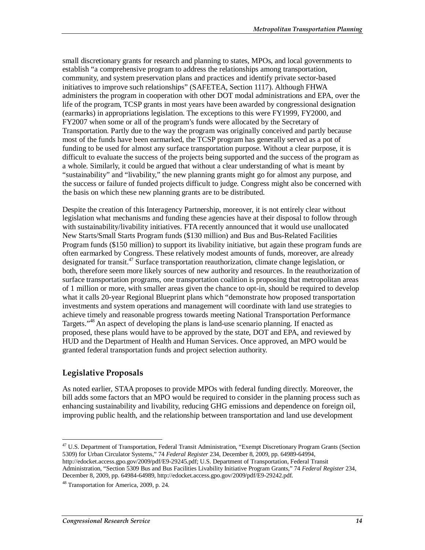small discretionary grants for research and planning to states, MPOs, and local governments to establish "a comprehensive program to address the relationships among transportation, community, and system preservation plans and practices and identify private sector-based initiatives to improve such relationships" (SAFETEA, Section 1117). Although FHWA administers the program in cooperation with other DOT modal administrations and EPA, over the life of the program, TCSP grants in most years have been awarded by congressional designation (earmarks) in appropriations legislation. The exceptions to this were FY1999, FY2000, and FY2007 when some or all of the program's funds were allocated by the Secretary of Transportation. Partly due to the way the program was originally conceived and partly because most of the funds have been earmarked, the TCSP program has generally served as a pot of funding to be used for almost any surface transportation purpose. Without a clear purpose, it is difficult to evaluate the success of the projects being supported and the success of the program as a whole. Similarly, it could be argued that without a clear understanding of what is meant by "sustainability" and "livability," the new planning grants might go for almost any purpose, and the success or failure of funded projects difficult to judge. Congress might also be concerned with the basis on which these new planning grants are to be distributed.

Despite the creation of this Interagency Partnership, moreover, it is not entirely clear without legislation what mechanisms and funding these agencies have at their disposal to follow through with sustainability/livability initiatives. FTA recently announced that it would use unallocated New Starts/Small Starts Program funds (\$130 million) and Bus and Bus-Related Facilities Program funds (\$150 million) to support its livability initiative, but again these program funds are often earmarked by Congress. These relatively modest amounts of funds, moreover, are already designated for transit.<sup>47</sup> Surface transportation reauthorization, climate change legislation, or both, therefore seem more likely sources of new authority and resources. In the reauthorization of surface transportation programs, one transportation coalition is proposing that metropolitan areas of 1 million or more, with smaller areas given the chance to opt-in, should be required to develop what it calls 20-year Regional Blueprint plans which "demonstrate how proposed transportation investments and system operations and management will coordinate with land use strategies to achieve timely and reasonable progress towards meeting National Transportation Performance Targets."<sup>48</sup> An aspect of developing the plans is land-use scenario planning. If enacted as proposed, these plans would have to be approved by the state, DOT and EPA, and reviewed by HUD and the Department of Health and Human Services. Once approved, an MPO would be granted federal transportation funds and project selection authority.

#### **Legislative Proposals**

As noted earlier, STAA proposes to provide MPOs with federal funding directly. Moreover, the bill adds some factors that an MPO would be required to consider in the planning process such as enhancing sustainability and livability, reducing GHG emissions and dependence on foreign oil, improving public health, and the relationship between transportation and land use development

<sup>-</sup><sup>47</sup> U.S. Department of Transportation, Federal Transit Administration, "Exempt Discretionary Program Grants (Section 5309) for Urban Circulator Systems," 74 *Federal Register* 234, December 8, 2009, pp. 64989-64994, http://edocket.access.gpo.gov/2009/pdf/E9-29245.pdf; U.S. Department of Transportation, Federal Transit Administration, "Section 5309 Bus and Bus Facilities Livability Initiative Program Grants," 74 *Federal Register* 234, December 8, 2009, pp. 64984-64989, http://edocket.access.gpo.gov/2009/pdf/E9-29242.pdf.

<sup>48</sup> Transportation for America, 2009, p. 24.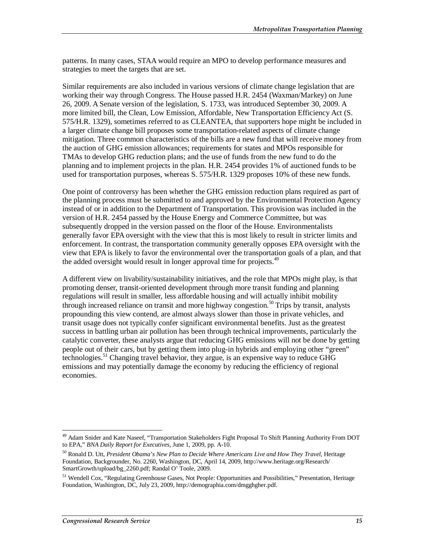patterns. In many cases, STAA would require an MPO to develop performance measures and strategies to meet the targets that are set.

Similar requirements are also included in various versions of climate change legislation that are working their way through Congress. The House passed H.R. 2454 (Waxman/Markey) on June 26, 2009. A Senate version of the legislation, S. 1733, was introduced September 30, 2009. A more limited bill, the Clean, Low Emission, Affordable, New Transportation Efficiency Act (S. 575/H.R. 1329), sometimes referred to as CLEANTEA, that supporters hope might be included in a larger climate change bill proposes some transportation-related aspects of climate change mitigation. Three common characteristics of the bills are a new fund that will receive money from the auction of GHG emission allowances; requirements for states and MPOs responsible for TMAs to develop GHG reduction plans; and the use of funds from the new fund to do the planning and to implement projects in the plan. H.R. 2454 provides 1% of auctioned funds to be used for transportation purposes, whereas S. 575/H.R. 1329 proposes 10% of these new funds.

One point of controversy has been whether the GHG emission reduction plans required as part of the planning process must be submitted to and approved by the Environmental Protection Agency instead of or in addition to the Department of Transportation. This provision was included in the version of H.R. 2454 passed by the House Energy and Commerce Committee, but was subsequently dropped in the version passed on the floor of the House. Environmentalists generally favor EPA oversight with the view that this is most likely to result in stricter limits and enforcement. In contrast, the transportation community generally opposes EPA oversight with the view that EPA is likely to favor the environmental over the transportation goals of a plan, and that the added oversight would result in longer approval time for projects.<sup>49</sup>

A different view on livability/sustainability initiatives, and the role that MPOs might play, is that promoting denser, transit-oriented development through more transit funding and planning regulations will result in smaller, less affordable housing and will actually inhibit mobility through increased reliance on transit and more highway congestion.<sup>50</sup> Trips by transit, analysts propounding this view contend, are almost always slower than those in private vehicles, and transit usage does not typically confer significant environmental benefits. Just as the greatest success in battling urban air pollution has been through technical improvements, particularly the catalytic converter, these analysts argue that reducing GHG emissions will not be done by getting people out of their cars, but by getting them into plug-in hybrids and employing other "green" technologies.51 Changing travel behavior, they argue, is an expensive way to reduce GHG emissions and may potentially damage the economy by reducing the efficiency of regional economies.

<sup>-</sup><sup>49</sup> Adam Snider and Kate Naseef, "Transportation Stakeholders Fight Proposal To Shift Planning Authority From DOT to EPA," *BNA Daily Report for Executives*, June 1, 2009, pp. A-10.

<sup>50</sup> Ronald D. Utt, *President Obama's New Plan to Decide Where Americans Live and How They Travel*, Heritage Foundation, Backgrounder, No. 2260, Washington, DC, April 14, 2009, http://www.heritage.org/Research/ SmartGrowth/upload/bg\_2260.pdf; Randal O' Toole, 2009.

<sup>51</sup> Wendell Cox, "Regulating Greenhouse Gases, Not People: Opportunities and Possibilities," Presentation, Heritage Foundation, Washington, DC, July 23, 2009, http://demographia.com/dmgghgher.pdf.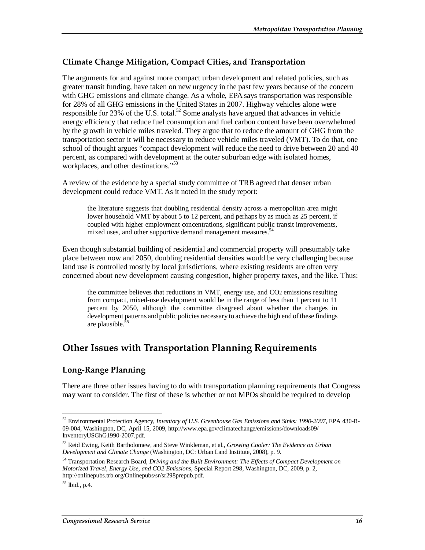#### **Climate Change Mitigation, Compact Cities, and Transportation**

The arguments for and against more compact urban development and related policies, such as greater transit funding, have taken on new urgency in the past few years because of the concern with GHG emissions and climate change. As a whole, EPA says transportation was responsible for 28% of all GHG emissions in the United States in 2007. Highway vehicles alone were responsible for 23% of the U.S. total.<sup>52</sup> Some analysts have argued that advances in vehicle energy efficiency that reduce fuel consumption and fuel carbon content have been overwhelmed by the growth in vehicle miles traveled. They argue that to reduce the amount of GHG from the transportation sector it will be necessary to reduce vehicle miles traveled (VMT). To do that, one school of thought argues "compact development will reduce the need to drive between 20 and 40 percent, as compared with development at the outer suburban edge with isolated homes, workplaces, and other destinations."<sup>53</sup>

A review of the evidence by a special study committee of TRB agreed that denser urban development could reduce VMT. As it noted in the study report:

the literature suggests that doubling residential density across a metropolitan area might lower household VMT by about 5 to 12 percent, and perhaps by as much as 25 percent, if coupled with higher employment concentrations, significant public transit improvements, mixed uses, and other supportive demand management measures.<sup>54</sup>

Even though substantial building of residential and commercial property will presumably take place between now and 2050, doubling residential densities would be very challenging because land use is controlled mostly by local jurisdictions, where existing residents are often very concerned about new development causing congestion, higher property taxes, and the like. Thus:

the committee believes that reductions in VMT, energy use, and CO2 emissions resulting from compact, mixed-use development would be in the range of less than 1 percent to 11 percent by 2050, although the committee disagreed about whether the changes in development patterns and public policies necessary to achieve the high end of these findings are plausible. $5$ 

### **Other Issues with Transportation Planning Requirements**

#### **Long-Range Planning**

There are three other issues having to do with transportation planning requirements that Congress may want to consider. The first of these is whether or not MPOs should be required to develop

<sup>52</sup> Environmental Protection Agency, *Inventory of U.S. Greenhouse Gas Emissions and Sinks: 1990-2007*, EPA 430-R-09-004, Washington, DC, April 15, 2009, http://www.epa.gov/climatechange/emissions/downloads09/ InventoryUSGhG1990-2007.pdf.

<sup>53</sup> Reid Ewing, Keith Bartholomew, and Steve Winkleman, et al., *Growing Cooler: The Evidence on Urban Development and Climate Change* (Washington, DC: Urban Land Institute, 2008), p. 9.

<sup>54</sup> Transportation Research Board, *Driving and the Built Environment: The Effects of Compact Development on Motorized Travel, Energy Use, and CO2 Emissions*, Special Report 298, Washington, DC, 2009, p. 2, http://onlinepubs.trb.org/Onlinepubs/sr/sr298prepub.pdf.

 $55$  Ibid., p.4.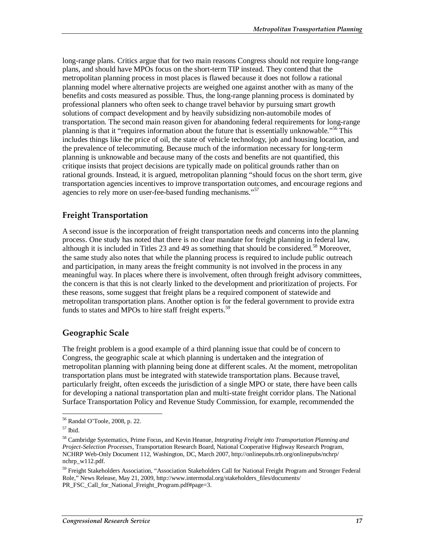long-range plans. Critics argue that for two main reasons Congress should not require long-range plans, and should have MPOs focus on the short-term TIP instead. They contend that the metropolitan planning process in most places is flawed because it does not follow a rational planning model where alternative projects are weighed one against another with as many of the benefits and costs measured as possible. Thus, the long-range planning process is dominated by professional planners who often seek to change travel behavior by pursuing smart growth solutions of compact development and by heavily subsidizing non-automobile modes of transportation. The second main reason given for abandoning federal requirements for long-range planning is that it "requires information about the future that is essentially unknowable."<sup>56</sup> This includes things like the price of oil, the state of vehicle technology, job and housing location, and the prevalence of telecommuting. Because much of the information necessary for long-term planning is unknowable and because many of the costs and benefits are not quantified, this critique insists that project decisions are typically made on political grounds rather than on rational grounds. Instead, it is argued, metropolitan planning "should focus on the short term, give transportation agencies incentives to improve transportation outcomes, and encourage regions and agencies to rely more on user-fee-based funding mechanisms."<sup>57</sup>

#### **Freight Transportation**

A second issue is the incorporation of freight transportation needs and concerns into the planning process. One study has noted that there is no clear mandate for freight planning in federal law, although it is included in Titles 23 and 49 as something that should be considered.<sup>58</sup> Moreover, the same study also notes that while the planning process is required to include public outreach and participation, in many areas the freight community is not involved in the process in any meaningful way. In places where there is involvement, often through freight advisory committees, the concern is that this is not clearly linked to the development and prioritization of projects. For these reasons, some suggest that freight plans be a required component of statewide and metropolitan transportation plans. Another option is for the federal government to provide extra funds to states and MPOs to hire staff freight experts.<sup>59</sup>

#### **Geographic Scale**

The freight problem is a good example of a third planning issue that could be of concern to Congress, the geographic scale at which planning is undertaken and the integration of metropolitan planning with planning being done at different scales. At the moment, metropolitan transportation plans must be integrated with statewide transportation plans. Because travel, particularly freight, often exceeds the jurisdiction of a single MPO or state, there have been calls for developing a national transportation plan and multi-state freight corridor plans. The National Surface Transportation Policy and Revenue Study Commission, for example, recommended the

<sup>-</sup>56 Randal O'Toole, 2008, p. 22.

 $57$  Ibid.

<sup>58</sup> Cambridge Systematics, Prime Focus, and Kevin Heanue, *Integrating Freight into Transportation Planning and Project-Selection Processes*, Transportation Research Board, National Cooperative Highway Research Program, NCHRP Web-Only Document 112, Washington, DC, March 2007, http://onlinepubs.trb.org/onlinepubs/nchrp/ nchrp\_w112.pdf.

<sup>&</sup>lt;sup>59</sup> Freight Stakeholders Association, "Association Stakeholders Call for National Freight Program and Stronger Federal Role," News Release, May 21, 2009, http://www.intermodal.org/stakeholders\_files/documents/ PR\_FSC\_Call\_for\_National\_Freight\_Program.pdf#page=3.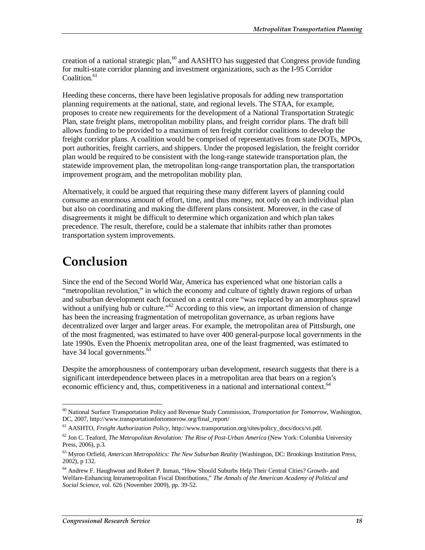creation of a national strategic plan,  $60$  and AASHTO has suggested that Congress provide funding for multi-state corridor planning and investment organizations, such as the I-95 Corridor Coalition. $61$ 

Heeding these concerns, there have been legislative proposals for adding new transportation planning requirements at the national, state, and regional levels. The STAA, for example, proposes to create new requirements for the development of a National Transportation Strategic Plan, state freight plans, metropolitan mobility plans, and freight corridor plans. The draft bill allows funding to be provided to a maximum of ten freight corridor coalitions to develop the freight corridor plans. A coalition would be comprised of representatives from state DOTs, MPOs, port authorities, freight carriers, and shippers. Under the proposed legislation, the freight corridor plan would be required to be consistent with the long-range statewide transportation plan, the statewide improvement plan, the metropolitan long-range transportation plan, the transportation improvement program, and the metropolitan mobility plan.

Alternatively, it could be argued that requiring these many different layers of planning could consume an enormous amount of effort, time, and thus money, not only on each individual plan but also on coordinating and making the different plans consistent. Moreover, in the case of disagreements it might be difficult to determine which organization and which plan takes precedence. The result, therefore, could be a stalemate that inhibits rather than promotes transportation system improvements.

## **Conclusion**

Since the end of the Second World War, America has experienced what one historian calls a "metropolitan revolution," in which the economy and culture of tightly drawn regions of urban and suburban development each focused on a central core "was replaced by an amorphous sprawl without a unifying hub or culture."<sup>62</sup> According to this view, an important dimension of change has been the increasing fragmentation of metropolitan governance, as urban regions have decentralized over larger and larger areas. For example, the metropolitan area of Pittsburgh, one of the most fragmented, was estimated to have over 400 general-purpose local governments in the late 1990s. Even the Phoenix metropolitan area, one of the least fragmented, was estimated to have 34 local governments.<sup>63</sup>

Despite the amorphousness of contemporary urban development, research suggests that there is a significant interdependence between places in a metropolitan area that bears on a region's economic efficiency and, thus, competitiveness in a national and international context.<sup>64</sup>

<sup>&</sup>lt;u>.</u> 60 National Surface Transportation Policy and Revenue Study Commission, *Transportation for Tomorrow*, Washington, DC, 2007, http://www.transportationfortomorrow.org/final\_report/

<sup>61</sup> AASHTO, *Freight Authorization Policy,* http://www.transportation.org/sites/policy\_docs/docs/vi.pdf.

 $^{62}$  Jon C. Teaford, *The Metropolitan Revolution: The Rise of Post-Urban America* (New York: Columbia University Press, 2006), p.3.

<sup>63</sup> Myron Orfield, *American Metropolitics: The New Suburban Reality* (Washington, DC: Brookings Institution Press, 2002), p 132.

<sup>64</sup> Andrew F. Haughwout and Robert P. Inman, "How Should Suburbs Help Their Central Cities? Growth- and Welfare-Enhancing Intrametropolitan Fiscal Distributions," *The Annals of the American Academy of Political and Social Science*, vol. 626 (November 2009), pp. 39-52.